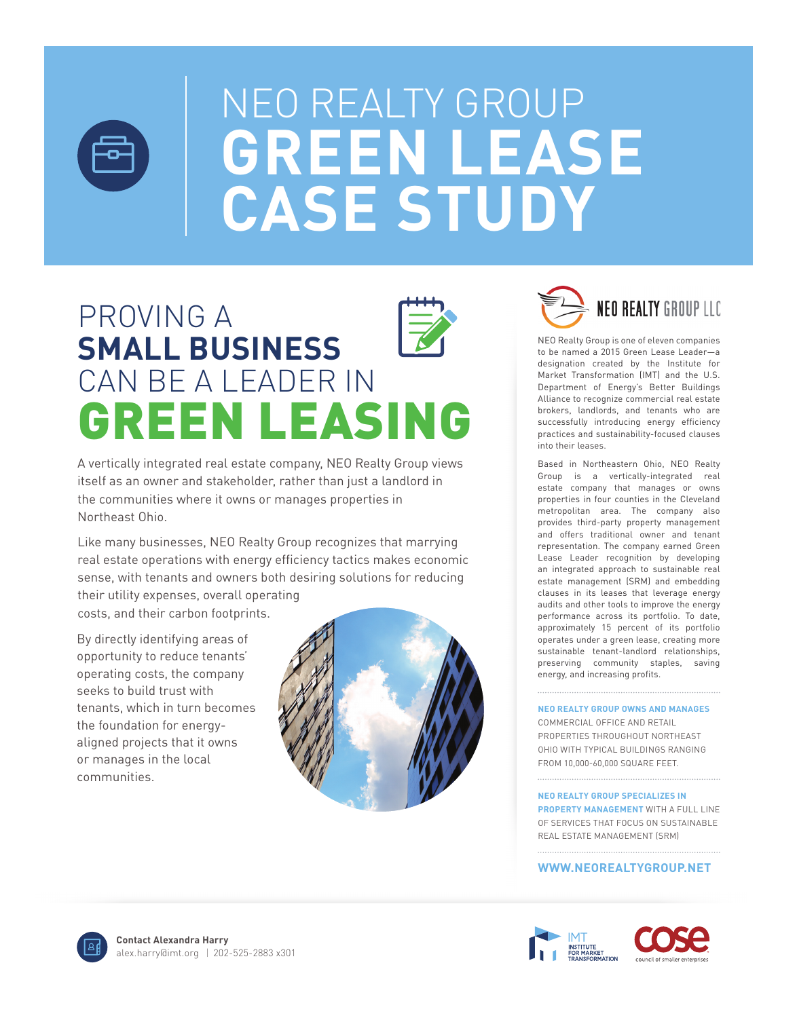

# NEO REALTY GROUP **GREEN LEASE CASE STUDY**

# PROVING A **SMALL BUSINESS** CAN BE A LEADER IN GREEN LEASING

A vertically integrated real estate company, NEO Realty Group views itself as an owner and stakeholder, rather than just a landlord in the communities where it owns or manages properties in Northeast Ohio.

Like many businesses, NEO Realty Group recognizes that marrying real estate operations with energy efficiency tactics makes economic sense, with tenants and owners both desiring solutions for reducing their utility expenses, overall operating

costs, and their carbon footprints.

By directly identifying areas of opportunity to reduce tenants' operating costs, the company seeks to build trust with tenants, which in turn becomes the foundation for energyaligned projects that it owns or manages in the local communities.





NEO Realty Group is one of eleven companies to be named a 2015 Green Lease Leader—a designation created by the Institute for Market Transformation (IMT) and the U.S. Department of Energy's Better Buildings Alliance to recognize commercial real estate brokers, landlords, and tenants who are successfully introducing energy efficiency practices and sustainability-focused clauses into their leases.

Based in Northeastern Ohio, NEO Realty Group is a vertically-integrated real estate company that manages or owns properties in four counties in the Cleveland metropolitan area. The company also provides third-party property management and offers traditional owner and tenant representation. The company earned Green Lease Leader recognition by developing an integrated approach to sustainable real estate management (SRM) and embedding clauses in its leases that leverage energy audits and other tools to improve the energy performance across its portfolio. To date, approximately 15 percent of its portfolio operates under a green lease, creating more sustainable tenant-landlord relationships, preserving community staples, saving energy, and increasing profits.

#### **NEO REALTY GROUP OWNS AND MANAGES**

COMMERCIAL OFFICE AND RETAIL PROPERTIES THROUGHOUT NORTHEAST OHIO WITH TYPICAL BUILDINGS RANGING FROM 10,000-60,000 SQUARE FEET.

**NEO REALTY GROUP SPECIALIZES IN PROPERTY MANAGEMENT** WITH A FULL LINE OF SERVICES THAT FOCUS ON SUSTAINABLE REAL ESTATE MANAGEMENT (SRM)

#### **WWW.NEOREALTYGROUP.NET**



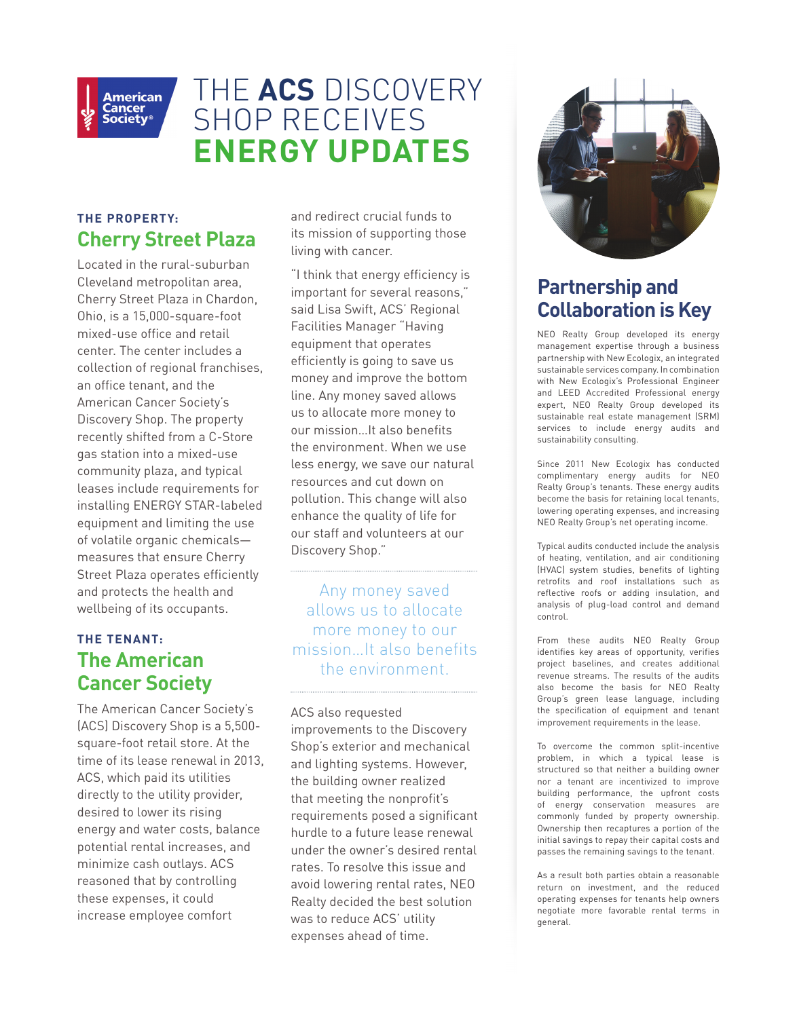

## THE **ACS** DISCOVERY SHOP RECEIVES **ENERGY UPDATES**

### **THE PROPERTY: Cherry Street Plaza**

Located in the rural-suburban Cleveland metropolitan area, Cherry Street Plaza in Chardon, Ohio, is a 15,000-square-foot mixed-use office and retail center. The center includes a collection of regional franchises, an office tenant, and the American Cancer Society's Discovery Shop. The property recently shifted from a C-Store gas station into a mixed-use community plaza, and typical leases include requirements for installing ENERGY STAR-labeled equipment and limiting the use of volatile organic chemicals measures that ensure Cherry Street Plaza operates efficiently and protects the health and wellbeing of its occupants.

### **THE TENANT: The American Cancer Society**

The American Cancer Society's (ACS) Discovery Shop is a 5,500 square-foot retail store. At the time of its lease renewal in 2013, ACS, which paid its utilities directly to the utility provider, desired to lower its rising energy and water costs, balance potential rental increases, and minimize cash outlays. ACS reasoned that by controlling these expenses, it could increase employee comfort

and redirect crucial funds to its mission of supporting those living with cancer.

"I think that energy efficiency is important for several reasons," said Lisa Swift, ACS' Regional Facilities Manager "Having equipment that operates efficiently is going to save us money and improve the bottom line. Any money saved allows us to allocate more money to our mission…It also benefits the environment. When we use less energy, we save our natural resources and cut down on pollution. This change will also enhance the quality of life for our staff and volunteers at our Discovery Shop."

Any money saved allows us to allocate more money to our mission…It also benefits the environment.

ACS also requested improvements to the Discovery Shop's exterior and mechanical and lighting systems. However, the building owner realized that meeting the nonprofit's requirements posed a significant hurdle to a future lease renewal under the owner's desired rental rates. To resolve this issue and avoid lowering rental rates, NEO Realty decided the best solution was to reduce ACS' utility expenses ahead of time.



### **Partnership and Collaboration is Key**

NEO Realty Group developed its energy management expertise through a business partnership with New Ecologix, an integrated sustainable services company. In combination with New Ecologix's Professional Engineer and LEED Accredited Professional energy expert, NEO Realty Group developed its sustainable real estate management (SRM) services to include energy audits and sustainability consulting.

Since 2011 New Ecologix has conducted complimentary energy audits for NEO Realty Group's tenants. These energy audits become the basis for retaining local tenants, lowering operating expenses, and increasing NEO Realty Group's net operating income.

Typical audits conducted include the analysis of heating, ventilation, and air conditioning (HVAC) system studies, benefits of lighting retrofits and roof installations such as reflective roofs or adding insulation, and analysis of plug-load control and demand control.

From these audits NEO Realty Group identifies key areas of opportunity, verifies project baselines, and creates additional revenue streams. The results of the audits also become the basis for NEO Realty Group's green lease language, including the specification of equipment and tenant improvement requirements in the lease.

To overcome the common split-incentive problem, in which a typical lease is structured so that neither a building owner nor a tenant are incentivized to improve building performance, the upfront costs of energy conservation measures are commonly funded by property ownership. Ownership then recaptures a portion of the initial savings to repay their capital costs and passes the remaining savings to the tenant.

As a result both parties obtain a reasonable return on investment, and the reduced operating expenses for tenants help owners negotiate more favorable rental terms in general.